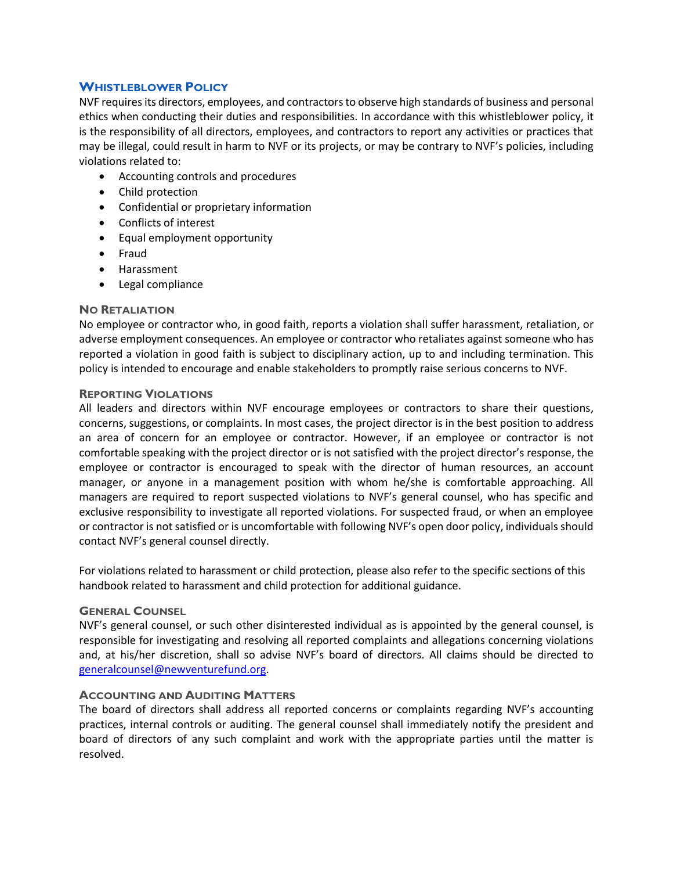# **WHISTLEBLOWER POLICY**

NVF requires its directors, employees, and contractors to observe high standards of business and personal ethics when conducting their duties and responsibilities. In accordance with this whistleblower policy, it is the responsibility of all directors, employees, and contractors to report any activities or practices that may be illegal, could result in harm to NVF or its projects, or may be contrary to NVF's policies, including violations related to:

- Accounting controls and procedures
- Child protection
- Confidential or proprietary information
- Conflicts of interest
- Equal employment opportunity
- Fraud
- Harassment
- Legal compliance

### **NO RETALIATION**

No employee or contractor who, in good faith, reports a violation shall suffer harassment, retaliation, or adverse employment consequences. An employee or contractor who retaliates against someone who has reported a violation in good faith is subject to disciplinary action, up to and including termination. This policy is intended to encourage and enable stakeholders to promptly raise serious concerns to NVF.

### **REPORTING VIOLATIONS**

All leaders and directors within NVF encourage employees or contractors to share their questions, concerns, suggestions, or complaints. In most cases, the project director is in the best position to address an area of concern for an employee or contractor. However, if an employee or contractor is not comfortable speaking with the project director or is not satisfied with the project director's response, the employee or contractor is encouraged to speak with the director of human resources, an account manager, or anyone in a management position with whom he/she is comfortable approaching. All managers are required to report suspected violations to NVF's general counsel, who has specific and exclusive responsibility to investigate all reported violations. For suspected fraud, or when an employee or contractor is not satisfied or is uncomfortable with following NVF's open door policy, individuals should contact NVF's general counsel directly.

For violations related to harassment or child protection, please also refer to the specific sections of this handbook related to harassment and child protection for additional guidance.

## **GENERAL COUNSEL**

NVF's general counsel, or such other disinterested individual as is appointed by the general counsel, is responsible for investigating and resolving all reported complaints and allegations concerning violations and, at his/her discretion, shall so advise NVF's board of directors. All claims should be directed to [generalcounsel@newventurefund.org.](mailto:generalcounsel@newventurefund.org)

## **ACCOUNTING AND AUDITING MATTERS**

The board of directors shall address all reported concerns or complaints regarding NVF's accounting practices, internal controls or auditing. The general counsel shall immediately notify the president and board of directors of any such complaint and work with the appropriate parties until the matter is resolved.